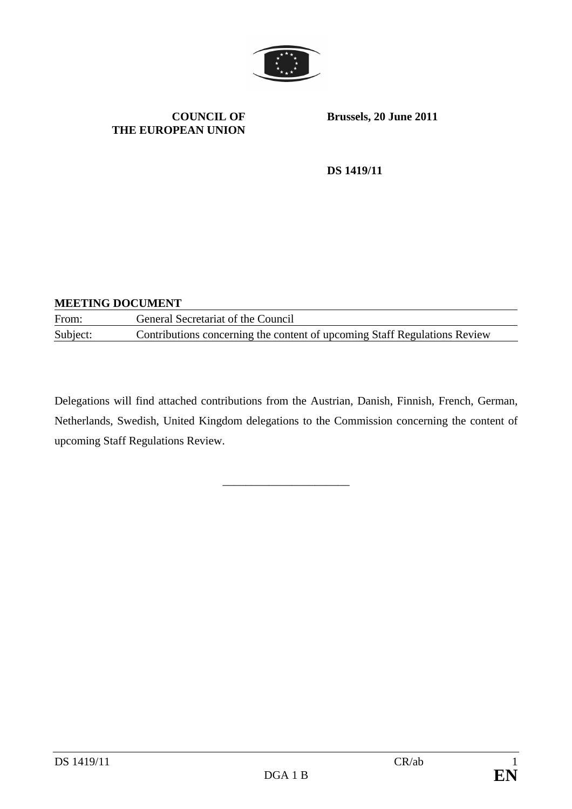

#### **COUNCIL OF THE EUROPEAN UNION**

**Brussels, 20 June 2011** 

**DS 1419/11** 

#### **MEETING DOCUMENT**

| From:    | General Secretariat of the Council                                        |
|----------|---------------------------------------------------------------------------|
| Subject: | Contributions concerning the content of upcoming Staff Regulations Review |

Delegations will find attached contributions from the Austrian, Danish, Finnish, French, German, Netherlands, Swedish, United Kingdom delegations to the Commission concerning the content of upcoming Staff Regulations Review.

\_\_\_\_\_\_\_\_\_\_\_\_\_\_\_\_\_\_\_\_\_\_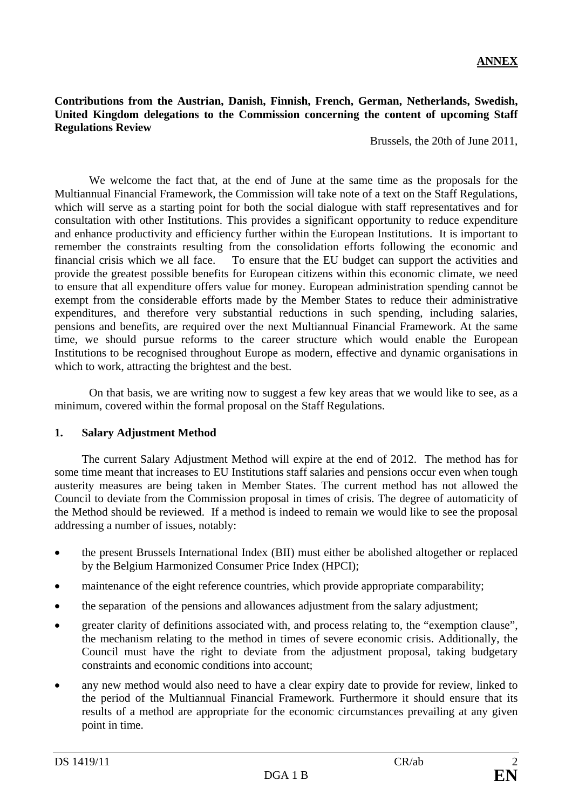#### **Contributions from the Austrian, Danish, Finnish, French, German, Netherlands, Swedish, United Kingdom delegations to the Commission concerning the content of upcoming Staff Regulations Review**

Brussels, the 20th of June 2011,

We welcome the fact that, at the end of June at the same time as the proposals for the Multiannual Financial Framework, the Commission will take note of a text on the Staff Regulations, which will serve as a starting point for both the social dialogue with staff representatives and for consultation with other Institutions. This provides a significant opportunity to reduce expenditure and enhance productivity and efficiency further within the European Institutions. It is important to remember the constraints resulting from the consolidation efforts following the economic and financial crisis which we all face. To ensure that the EU budget can support the activities and provide the greatest possible benefits for European citizens within this economic climate, we need to ensure that all expenditure offers value for money. European administration spending cannot be exempt from the considerable efforts made by the Member States to reduce their administrative expenditures, and therefore very substantial reductions in such spending, including salaries, pensions and benefits, are required over the next Multiannual Financial Framework. At the same time, we should pursue reforms to the career structure which would enable the European Institutions to be recognised throughout Europe as modern, effective and dynamic organisations in which to work, attracting the brightest and the best.

On that basis, we are writing now to suggest a few key areas that we would like to see, as a minimum, covered within the formal proposal on the Staff Regulations.

## **1. Salary Adjustment Method**

 The current Salary Adjustment Method will expire at the end of 2012. The method has for some time meant that increases to EU Institutions staff salaries and pensions occur even when tough austerity measures are being taken in Member States. The current method has not allowed the Council to deviate from the Commission proposal in times of crisis. The degree of automaticity of the Method should be reviewed. If a method is indeed to remain we would like to see the proposal addressing a number of issues, notably:

- the present Brussels International Index (BII) must either be abolished altogether or replaced by the Belgium Harmonized Consumer Price Index (HPCI);
- maintenance of the eight reference countries, which provide appropriate comparability;
- the separation of the pensions and allowances adjustment from the salary adjustment;
- greater clarity of definitions associated with, and process relating to, the "exemption clause", the mechanism relating to the method in times of severe economic crisis. Additionally, the Council must have the right to deviate from the adjustment proposal, taking budgetary constraints and economic conditions into account;
- any new method would also need to have a clear expiry date to provide for review, linked to the period of the Multiannual Financial Framework. Furthermore it should ensure that its results of a method are appropriate for the economic circumstances prevailing at any given point in time.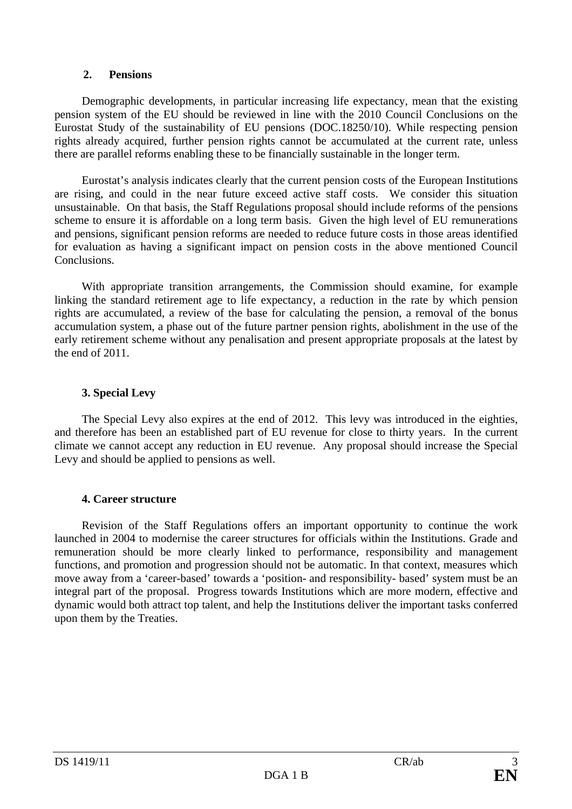## **2. Pensions**

 Demographic developments, in particular increasing life expectancy, mean that the existing pension system of the EU should be reviewed in line with the 2010 Council Conclusions on the Eurostat Study of the sustainability of EU pensions (DOC.18250/10). While respecting pension rights already acquired, further pension rights cannot be accumulated at the current rate, unless there are parallel reforms enabling these to be financially sustainable in the longer term.

 Eurostat's analysis indicates clearly that the current pension costs of the European Institutions are rising, and could in the near future exceed active staff costs. We consider this situation unsustainable. On that basis, the Staff Regulations proposal should include reforms of the pensions scheme to ensure it is affordable on a long term basis. Given the high level of EU remunerations and pensions, significant pension reforms are needed to reduce future costs in those areas identified for evaluation as having a significant impact on pension costs in the above mentioned Council Conclusions.

 With appropriate transition arrangements, the Commission should examine, for example linking the standard retirement age to life expectancy, a reduction in the rate by which pension rights are accumulated, a review of the base for calculating the pension, a removal of the bonus accumulation system, a phase out of the future partner pension rights, abolishment in the use of the early retirement scheme without any penalisation and present appropriate proposals at the latest by the end of 2011.

# **3. Special Levy**

 The Special Levy also expires at the end of 2012. This levy was introduced in the eighties, and therefore has been an established part of EU revenue for close to thirty years. In the current climate we cannot accept any reduction in EU revenue. Any proposal should increase the Special Levy and should be applied to pensions as well.

## **4. Career structure**

 Revision of the Staff Regulations offers an important opportunity to continue the work launched in 2004 to modernise the career structures for officials within the Institutions. Grade and remuneration should be more clearly linked to performance, responsibility and management functions, and promotion and progression should not be automatic. In that context, measures which move away from a 'career-based' towards a 'position- and responsibility- based' system must be an integral part of the proposal. Progress towards Institutions which are more modern, effective and dynamic would both attract top talent, and help the Institutions deliver the important tasks conferred upon them by the Treaties.